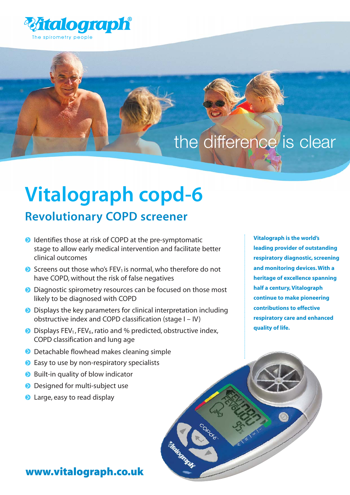

### the difference is clear

# **Vitalograph copd-6**

### **Revolutionary COPD screener**

- **ID** Identifies those at risk of COPD at the pre-symptomatic stage to allow early medical intervention and facilitate better clinical outcomes
- $\bullet$  Screens out those who's FEV<sub>1</sub> is normal, who therefore do not have COPD, without the risk of false negatives
- **D** Diagnostic spirometry resources can be focused on those most likely to be diagnosed with COPD
- **•** Displays the key parameters for clinical interpretation including obstructive index and COPD classification (stage I – IV)
- $\bullet$  Displays FEV<sub>1</sub>, FEV<sub>6</sub>, ratio and % predicted, obstructive index, COPD classification and lung age
- **D** Detachable flowhead makes cleaning simple
- **Easy to use by non-respiratory specialists**
- **■** Built-in quality of blow indicator
- **Designed for multi-subject use**
- **a** Large, easy to read display

**Vitalograph is the world's leading provider of outstanding respiratory diagnostic, screening and monitoring devices. With a heritage of excellence spanning half a century, Vitalograph continue to make pioneering contributions to effective respiratory care and enhanced quality of life.**

#### www.vitalograph.co.uk